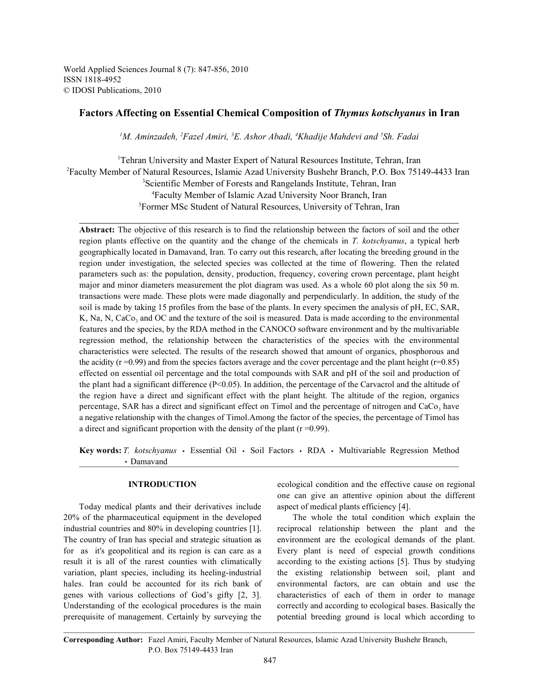World Applied Sciences Journal 8 (7): 847-856, 2010 ISSN 1818-4952 © IDOSI Publications, 2010

# **Factors Affecting on Essential Chemical Composition of** *Thymus kotschyanus* **in Iran**

<sup>1</sup>M. Aminzadeh, <sup>2</sup>Fazel Amiri, <sup>3</sup>E. Ashor Abadi, <sup>4</sup>Khadije Mahdevi and <sup>5</sup>Sh. Fadai

<sup>1</sup>Tehran University and Master Expert of Natural Resources Institute, Tehran, Iran Faculty Member of Natural Resources, Islamic Azad University Bushehr Branch, P.O. Box 75149-4433 Iran 2 <sup>3</sup>Scientific Member of Forests and Rangelands Institute, Tehran, Iran Faculty Member of Islamic Azad University Noor Branch, Iran <sup>4</sup> <sup>5</sup>Former MSc Student of Natural Resources, University of Tehran, Iran

**Abstract:** The objective of this research is to find the relationship between the factors of soil and the other region plants effective on the quantity and the change of the chemicals in *T. kotschyanus*, a typical herb geographically located in Damavand, Iran. To carry out this research, after locating the breeding ground in the region under investigation, the selected species was collected at the time of flowering. Then the related parameters such as: the population, density, production, frequency, covering crown percentage, plant height major and minor diameters measurement the plot diagram was used. As a whole 60 plot along the six 50 m. transactions were made. These plots were made diagonally and perpendicularly. In addition, the study of the soil is made by taking 15 profiles from the base of the plants. In every specimen the analysis of pH, EC, SAR, K, Na, N, CaCo, and OC and the texture of the soil is measured. Data is made according to the environmental features and the species, by the RDA method in the CANOCO software environment and by the multivariable regression method, the relationship between the characteristics of the species with the environmental characteristics were selected. The results of the research showed that amount of organics, phosphorous and the acidity ( $r = 0.99$ ) and from the species factors average and the cover percentage and the plant height ( $r = 0.85$ ) effected on essential oil percentage and the total compounds with SAR and pH of the soil and production of the plant had a significant difference (P<0.05). In addition, the percentage of the Carvacrol and the altitude of the region have a direct and significant effect with the plant height. The altitude of the region, organics percentage, SAR has a direct and significant effect on Timol and the percentage of nitrogen and  $CaCo<sub>3</sub>$  have a negative relationship with the changes of Timol.Among the factor of the species, the percentage of Timol has a direct and significant proportion with the density of the plant  $(r = 0.99)$ .

Key words: *T. kotschyanus* · Essential Oil · Soil Factors · RDA · Multivariable Regression Method Damavand

Today medical plants and their derivatives include aspect of medical plants efficiency [4]. 20% of the pharmaceutical equipment in the developed The whole the total condition which explain the industrial countries and 80% in developing countries [1]. reciprocal relationship between the plant and the The country of Iran has special and strategic situation as environment are the ecological demands of the plant. for as it's geopolitical and its region is can care as a Every plant is need of especial growth conditions result it is all of the rarest counties with climatically according to the existing actions [5]. Thus by studying variation, plant species, including its heeling-industrial the existing relationship between soil, plant and hales. Iran could be accounted for its rich bank of environmental factors, are can obtain and use the genes with various collections of God's gifty [2, 3]. characteristics of each of them in order to manage Understanding of the ecological procedures is the main correctly and according to ecological bases. Basically the prerequisite of management. Certainly by surveying the potential breeding ground is local which according to

**INTRODUCTION** ecological condition and the effective cause on regional one can give an attentive opinion about the different

**Corresponding Author:** Fazel Amiri, Faculty Member of Natural Resources, Islamic Azad University Bushehr Branch, P.O. Box 75149-4433 Iran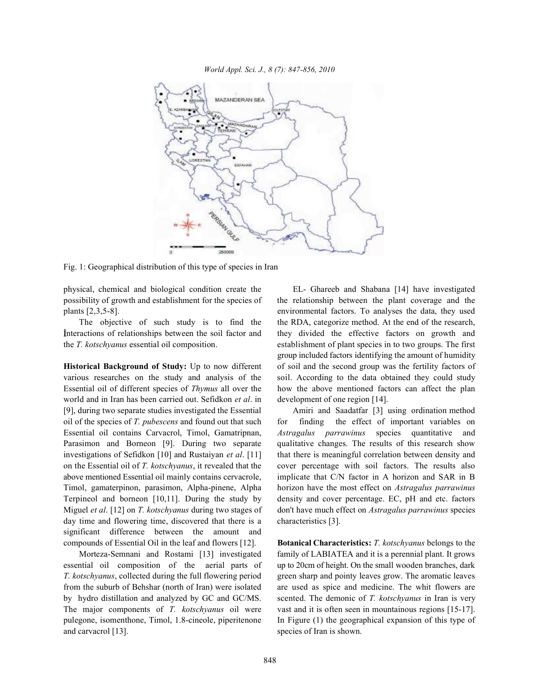

Fig. 1: Geographical distribution of this type of species in Iran

possibility of growth and establishment for the species of the relationship between the plant coverage and the plants [2,3,5-8]. environmental factors. To analyses the data, they used

nteractions of relationships between the soil factor and they divided the effective factors on growth and the *T. kotschyanus* essential oil composition. establishment of plant species in to two groups. The first

**Historical Background of Study:** Up to now different of soil and the second group was the fertility factors of various researches on the study and analysis of the soil. According to the data obtained they could study Essential oil of different species of *Thymus* all over the how the above mentioned factors can affect the plan world and in Iran has been carried out. Sefidkon *et al*. in development of one region [14]. [9], during two separate studies investigated the Essential Amiri and Saadatfar [3] using ordination method oil of the species of *T. pubescens* and found out that such for finding the effect of important variables on Essential oil contains Carvacrol, Timol, Gamatripnan, *Astragalus parrawinus* species quantitative and Parasimon and Borneon [9]. During two separate qualitative changes. The results of this research show investigations of Sefidkon [10] and Rustaiyan *et al*. [11] that there is meaningful correlation between density and on the Essential oil of *T. kotschyanus*, it revealed that the cover percentage with soil factors. The results also above mentioned Essential oil mainly contains cervacrole, implicate that C/N factor in A horizon and SAR in B Timol, gamaterpinon, parasimon, Alpha-pinene, Alpha horizon have the most effect on *Astragalus parrawinus* Terpineol and borneon [10,11]. During the study by density and cover percentage. EC, pH and etc. factors Miguel *et al*. [12] on *T. kotschyanus* during two stages of don't have much effect on *Astragalus parrawinus* species day time and flowering time, discovered that there is a characteristics [3]. significant difference between the amount and compounds of Essential Oil in the leaf and flowers [12]. **Botanical Characteristics:** *T. kotschyanus* belongs to the

essential oil composition of the aerial parts of up to 20cm of height. On the small wooden branches, dark *T. kotschyanus*, collected during the full flowering period green sharp and pointy leaves grow. The aromatic leaves from the suburb of Behshar (north of Iran) were isolated are used as spice and medicine. The whit flowers are by hydro distillation and analyzed by GC and GC/MS. scented. The demonic of *T. kotschyanus* in Iran is very The major components of *T. kotschyanus* oil were vast and it is often seen in mountainous regions [15-17]. pulegone, isomenthone, Timol, 1.8-cineole, piperitenone In Figure (1) the geographical expansion of this type of and carvacrol [13]. species of Iran is shown.

physical, chemical and biological condition create the EL- Ghareeb and Shabana [14] have investigated The objective of such study is to find the the RDA, categorize method. At the end of the research, group included factors identifying the amount of humidity

Morteza-Semnani and Rostami [13] investigated family of LABIATEA and it is a perennial plant. It grows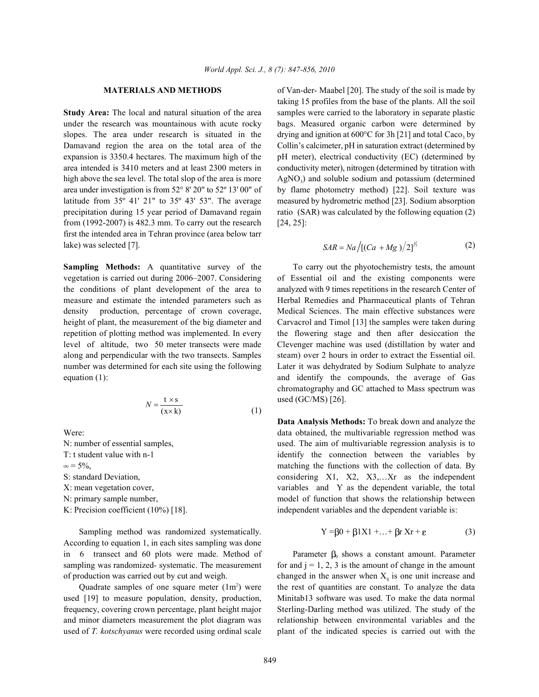under the research was mountainous with acute rocky bags. Measured organic carbon were determined by slopes. The area under research is situated in the drying and ignition at  $600^{\circ}$ C for 3h [21] and total Caco<sub>3</sub> by Damavand region the area on the total area of the Collin's calcimeter, pH in saturation extract (determined by expansion is 3350.4 hectares. The maximum high of the pH meter), electrical conductivity (EC) (determined by area intended is 3410 meters and at least 2300 meters in conductivity meter), nitrogen (determined by titration with high above the sea level. The total slop of the area is more  $\qquad$  AgNO<sub>3</sub>) and soluble sodium and potassium (determined area under investigation is from  $52^{\circ} 8' 20''$  to  $52^{\circ} 13' 00''$  of by flame photometry method) [22]. Soil texture was latitude from 35º 41' 21" to 35º 43' 53". The average measured by hydrometric method [23]. Sodium absorption precipitation during 15 year period of Damavand regain ratio (SAR) was calculated by the following equation (2) from (1992-2007) is 482.3 mm. To carry out the research [24, 25]: first the intended area in Tehran province (area below tarr lake) was selected [7].

**Sampling Methods:** A quantitative survey of the To carry out the phyotochemistry tests, the amount vegetation is carried out during 2006–2007. Considering of Essential oil and the existing components were the conditions of plant development of the area to analyzed with 9 times repetitions in the research Center of measure and estimate the intended parameters such as Herbal Remedies and Pharmaceutical plants of Tehran density production, percentage of crown coverage, Medical Sciences. The main effective substances were height of plant, the measurement of the big diameter and Carvacrol and Timol [13] the samples were taken during repetition of plotting method was implemented. In every the flowering stage and then after desiccation the level of altitude, two 50 meter transects were made Clevenger machine was used (distillation by water and along and perpendicular with the two transects. Samples steam) over 2 hours in order to extract the Essential oil. number was determined for each site using the following Later it was dehydrated by Sodium Sulphate to analyze equation (1): and identify the compounds, the average of Gas

$$
N = \frac{\mathbf{t} \times \mathbf{s}}{(\mathbf{x} \times \mathbf{k})}
$$
 (1)

Sampling method was randomized systematically. According to equation 1, in each sites sampling was done in 6 transect and 60 plots were made. Method of sampling was randomized- systematic. The measurement for and  $j = 1, 2, 3$  is the amount of change in the amount

used [19] to measure population, density, production, Minitab13 software was used. To make the data normal frequency, covering crown percentage, plant height major Sterling-Darling method was utilized. The study of the and minor diameters measurement the plot diagram was relationship between environmental variables and the used of *T. kotschyanus* were recorded using ordinal scale plant of the indicated species is carried out with the

**MATERIALS AND METHODS** of Van-der- Maabel [20]. The study of the soil is made by **Study Area:** The local and natural situation of the area samples were carried to the laboratory in separate plastic taking 15 profiles from the base of the plants. All the soil

$$
SAR = Na / [(Ca + Mg) / 2]^{1/2}
$$
 (2)

used (GC/MS) [26]. chromatography and GC attached to Mass spectrum was

Were: data obtained, the multivariable regression method was N: number of essential samples, used. The aim of multivariable regression analysis is to T: t student value with n-1 identify the connection between the variables by  $\infty = 5\%$ , matching the functions with the collection of data. By S: standard Deviation, considering X1, X2, X3,...Xr as the independent X: mean vegetation cover, variables and Y as the dependent variable, the total N: primary sample number, model of function that shows the relationship between K: Precision coefficient (10%) [18]. independent variables and the dependent variable is: **Data Analysis Methods:** To break down and analyze the

$$
Y = \beta 0 + \beta 1X1 + \dots + \beta r Xr + \varepsilon
$$
 (3)

of production was carried out by cut and weigh. changed in the answer when  $X_{ij}$  is one unit increase and Quadrate samples of one square meter  $(1m<sup>2</sup>)$  were the rest of quantities are constant. To analyze the data Parameter  $\beta_0$  shows a constant amount. Parameter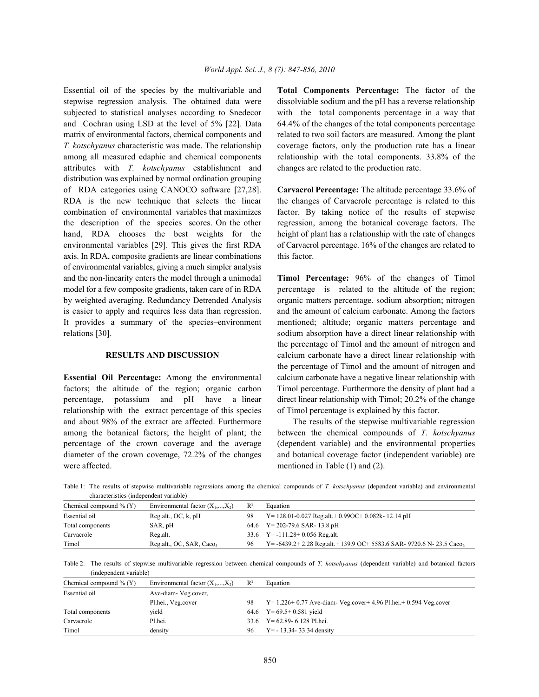stepwise regression analysis. The obtained data were dissolviable sodium and the pH has a reverse relationship subjected to statistical analyses according to Snedecor with the total components percentage in a way that and Cochran using LSD at the level of 5% [22]. Data 64.4% of the changes of the total components percentage matrix of environmental factors, chemical components and related to two soil factors are measured. Among the plant *T. kotschyanus* characteristic was made. The relationship coverage factors, only the production rate has a linear among all measured edaphic and chemical components relationship with the total components. 33.8% of the attributes with *T. kotschyanus* establishment and changes are related to the production rate. distribution was explained by normal ordination grouping of RDA categories using CANOCO software [27,28]. **Carvacrol Percentage:** The altitude percentage 33.6% of RDA is the new technique that selects the linear the changes of Carvacrole percentage is related to this combination of environmental variables that maximizes factor. By taking notice of the results of stepwise the description of the species scores. On the other regression, among the botanical coverage factors. The hand, RDA chooses the best weights for the height of plant has a relationship with the rate of changes environmental variables [29]. This gives the first RDA of Carvacrol percentage. 16% of the changes are related to axis. In RDA, composite gradients are linear combinations this factor. of environmental variables, giving a much simpler analysis and the non-linearity enters the model through a unimodal **Timol Percentage:** 96% of the changes of Timol model for a few composite gradients, taken care of in RDA percentage is related to the altitude of the region; by weighted averaging. Redundancy Detrended Analysis organic matters percentage. sodium absorption; nitrogen is easier to apply and requires less data than regression. and the amount of calcium carbonate. Among the factors It provides a summary of the species–environment mentioned; altitude; organic matters percentage and relations [30]. Sodium absorption have a direct linear relationship with

factors; the altitude of the region; organic carbon Timol percentage. Furthermore the density of plant had a percentage, potassium and pH have a linear direct linear relationship with Timol; 20.2% of the change relationship with the extract percentage of this species of Timol percentage is explained by this factor. and about 98% of the extract are affected. Furthermore The results of the stepwise multivariable regression among the botanical factors; the height of plant; the between the chemical compounds of *T. kotschyanus* percentage of the crown coverage and the average (dependent variable) and the environmental properties diameter of the crown coverage, 72.2% of the changes and botanical coverage factor (independent variable) are were affected. mentioned in Table (1) and (2).

Essential oil of the species by the multivariable and **Total Components Percentage:** The factor of the

**RESULTS AND DISCUSSION** calcium carbonate have a direct linear relationship with **Essential Oil Percentage:** Among the environmental calcium carbonate have a negative linear relationship with the percentage of Timol and the amount of nitrogen and the percentage of Timol and the amount of nitrogen and

Table 1: The results of stepwise multivariable regressions among the chemical compounds of *T. kotschyanus* (dependent variable) and environmental characteristics (independent variable)

| Chemical compound $\%$ (Y) | Environmental factor $(X_1,,X_2)$ | $\mathbb{R}^2$ | Equation                                                                 |
|----------------------------|-----------------------------------|----------------|--------------------------------------------------------------------------|
| Essential oil              | Reg. alt., OC, k, pH              | 98             | $Y = 128.01 - 0.027$ Reg.alt. + 0.99OC + 0.082k - 12.14 pH               |
| Total components           | SAR, pH                           |                | 64.6 Y = 202-79.6 SAR-13.8 pH                                            |
| Carvacrole                 | Reg.alt.                          |                | $33.6$ Y = -111.28 + 0.056 Reg.alt.                                      |
| Timol                      | Reg.alt., OC, SAR, Caco,          | 96             | $Y = -6439.2 + 2.28$ Reg.alt + 139.9 OC + 5583.6 SAR-9720.6 N-23.5 Caco, |

Table 2: The results of stepwise multivariable regression between chemical compounds of *T. kotschyanus* (dependent variable) and botanical factors (independent variable)

| Chemical compound $\%$ (Y) | Environmental factor $(X_1,,X_2)$ | $\mathbb{R}^2$ | Equation                                                               |
|----------------------------|-----------------------------------|----------------|------------------------------------------------------------------------|
| Essential oil              | Ave-diam-Veg.cover.               |                |                                                                        |
|                            | Pl.hei., Veg.cover                | 98             | $Y = 1.226 + 0.77$ Ave-diam-Veg.cover + 4.96 Pl.hei. + 0.594 Veg.cover |
| Total components           | vield                             |                | 64.6 $Y=69.5+0.581$ yield                                              |
| Carvacrole                 | Pl.hei.                           | 33.6           | $Y = 62.89 - 6.128$ Pl.hei.                                            |
| Timol                      | density                           | 96             | $Y = -13.34 - 33.34$ density                                           |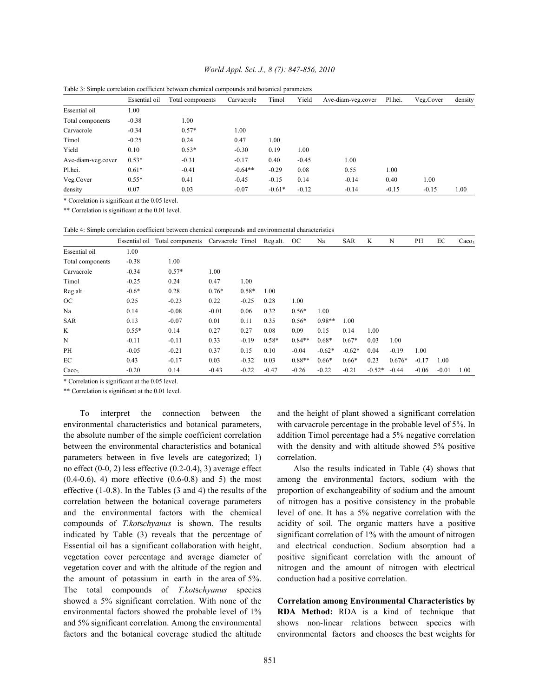## *World Appl. Sci. J., 8 (7): 847-856, 2010*

|                    | Essential oil | Total components | Carvacrole | Timol    | Yield   | Ave-diam-veg.cover | Pl.hei. | Veg.Cover | density |
|--------------------|---------------|------------------|------------|----------|---------|--------------------|---------|-----------|---------|
| Essential oil      | 1.00          |                  |            |          |         |                    |         |           |         |
| Total components   | $-0.38$       | 1.00             |            |          |         |                    |         |           |         |
| Carvacrole         | $-0.34$       | $0.57*$          | 1.00       |          |         |                    |         |           |         |
| Timol              | $-0.25$       | 0.24             | 0.47       | 1.00     |         |                    |         |           |         |
| Yield              | 0.10          | $0.53*$          | $-0.30$    | 0.19     | 1.00    |                    |         |           |         |
| Ave-diam-veg.cover | $0.53*$       | $-0.31$          | $-0.17$    | 0.40     | $-0.45$ | 1.00               |         |           |         |
| Pl.hei.            | $0.61*$       | $-0.41$          | $-0.64**$  | $-0.29$  | 0.08    | 0.55               | 1.00    |           |         |
| Veg.Cover          | $0.55*$       | 0.41             | $-0.45$    | $-0.15$  | 0.14    | $-0.14$            | 0.40    | 1.00      |         |
| density            | 0.07          | 0.03             | $-0.07$    | $-0.61*$ | $-0.12$ | $-0.14$            | $-0.15$ | $-0.15$   | 1.00    |

Table 3: Simple correlation coefficient between chemical compounds and botanical parameters

\* Correlation is significant at the 0.05 level.

\*\* Correlation is significant at the 0.01 level.

Table 4: Simple correlation coefficient between chemical compounds and environmental characteristics

|                   | Essential oil | Total components | Carvacrole Timol |         | Reg.alt. | OC       | Na       | <b>SAR</b> | K        | N        | PH      | EC      | Caco <sub>3</sub> |
|-------------------|---------------|------------------|------------------|---------|----------|----------|----------|------------|----------|----------|---------|---------|-------------------|
| Essential oil     | 1.00          |                  |                  |         |          |          |          |            |          |          |         |         |                   |
| Total components  | $-0.38$       | 1.00             |                  |         |          |          |          |            |          |          |         |         |                   |
| Carvacrole        | $-0.34$       | $0.57*$          | 1.00             |         |          |          |          |            |          |          |         |         |                   |
| Timol             | $-0.25$       | 0.24             | 0.47             | 1.00    |          |          |          |            |          |          |         |         |                   |
| Reg.alt.          | $-0.6*$       | 0.28             | $0.76*$          | $0.58*$ | 1.00     |          |          |            |          |          |         |         |                   |
| <b>OC</b>         | 0.25          | $-0.23$          | 0.22             | $-0.25$ | 0.28     | 1.00     |          |            |          |          |         |         |                   |
| Na                | 0.14          | $-0.08$          | $-0.01$          | 0.06    | 0.32     | $0.56*$  | 1.00     |            |          |          |         |         |                   |
| <b>SAR</b>        | 0.13          | $-0.07$          | 0.01             | 0.11    | 0.35     | $0.56*$  | $0.98**$ | 1.00       |          |          |         |         |                   |
| K                 | $0.55*$       | 0.14             | 0.27             | 0.27    | 0.08     | 0.09     | 0.15     | 0.14       | 1.00     |          |         |         |                   |
| N                 | $-0.11$       | $-0.11$          | 0.33             | $-0.19$ | $0.58*$  | $0.84**$ | $0.68*$  | $0.67*$    | 0.03     | 1.00     |         |         |                   |
| PH                | $-0.05$       | $-0.21$          | 0.37             | 0.15    | 0.10     | $-0.04$  | $-0.62*$ | $-0.62*$   | 0.04     | $-0.19$  | 1.00    |         |                   |
| EC                | 0.43          | $-0.17$          | 0.03             | $-0.32$ | 0.03     | $0.88**$ | $0.66*$  | $0.66*$    | 0.23     | $0.676*$ | $-0.17$ | 1.00    |                   |
| Caco <sub>3</sub> | $-0.20$       | 0.14             | $-0.43$          | $-0.22$ | $-0.47$  | $-0.26$  | $-0.22$  | $-0.21$    | $-0.52*$ | $-0.44$  | $-0.06$ | $-0.01$ | 1.00              |

\* Correlation is significant at the 0.05 level.

\*\* Correlation is significant at the 0.01 level.

environmental characteristics and botanical parameters, with carvacrole percentage in the probable level of 5%. In the absolute number of the simple coefficient correlation addition Timol percentage had a 5% negative correlation between the environmental characteristics and botanical with the density and with altitude showed 5% positive parameters between in five levels are categorized; 1) correlation. no effect (0-0, 2) less effective (0.2-0.4), 3) average effect Also the results indicated in Table (4) shows that (0.4-0.6), 4) more effective (0.6-0.8) and 5) the most among the environmental factors, sodium with the effective (1-0.8). In the Tables (3 and 4) the results of the proportion of exchangeability of sodium and the amount correlation between the botanical coverage parameters of nitrogen has a positive consistency in the probable and the environmental factors with the chemical level of one. It has a 5% negative correlation with the compounds of *T.kot*s*chyanus* is shown. The results acidity of soil. The organic matters have a positive indicated by Table (3) reveals that the percentage of significant correlation of 1% with the amount of nitrogen Essential oil has a significant collaboration with height, and electrical conduction. Sodium absorption had a vegetation cover percentage and average diameter of positive significant correlation with the amount of vegetation cover and with the altitude of the region and nitrogen and the amount of nitrogen with electrical the amount of potassium in earth in the area of 5%. conduction had a positive correlation. The total compounds of *T.kot*s*chyanus* species showed a 5% significant correlation. With none of the **Correlation among Environmental Characteristics by** environmental factors showed the probable level of 1% **RDA Method:** RDA is a kind of technique that and 5% significant correlation. Among the environmental shows non-linear relations between species with factors and the botanical coverage studied the altitude environmental factors and chooses the best weights for

To interpret the connection between the and the height of plant showed a significant correlation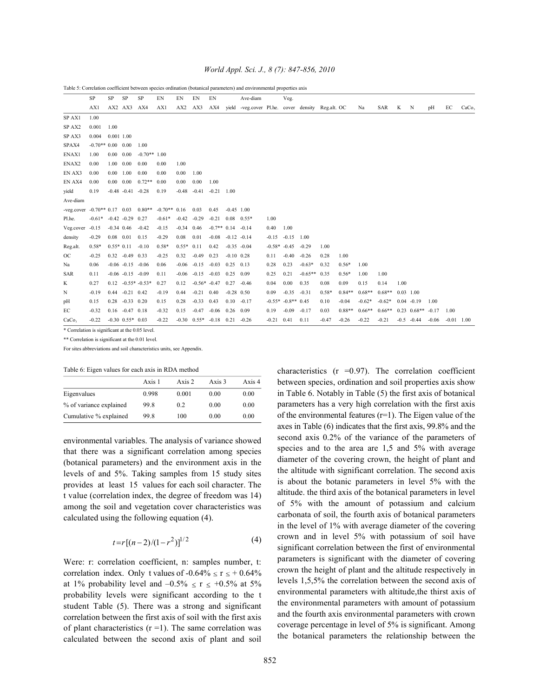|                                                    | SP                        | SP                | SP                      | SP                   | EN       | EN           | EN                             | EN            |                | Ave-diam                                              |         | Veg.                 |           |         |          |          |          |      |                      |         |              |                   |
|----------------------------------------------------|---------------------------|-------------------|-------------------------|----------------------|----------|--------------|--------------------------------|---------------|----------------|-------------------------------------------------------|---------|----------------------|-----------|---------|----------|----------|----------|------|----------------------|---------|--------------|-------------------|
|                                                    | AX1                       |                   | AX2 AX3 AX4             |                      | AX1      |              | AX2 AX3                        |               |                | AX4 yield -veg.cover Pl.he. cover density Reg.alt. OC |         |                      |           |         |          | Na       | SAR      | K    | $\mathbf N$          | pH      | EC           | CaCo <sub>3</sub> |
| SP AX1                                             | 1.00                      |                   |                         |                      |          |              |                                |               |                |                                                       |         |                      |           |         |          |          |          |      |                      |         |              |                   |
| SPAX2                                              | 0.001                     | 1.00              |                         |                      |          |              |                                |               |                |                                                       |         |                      |           |         |          |          |          |      |                      |         |              |                   |
| SP AX3                                             | 0.004                     | 0.001 1.00        |                         |                      |          |              |                                |               |                |                                                       |         |                      |           |         |          |          |          |      |                      |         |              |                   |
| SPAX4                                              | $-0.70**0.00$ 0.00        |                   |                         | 1.00                 |          |              |                                |               |                |                                                       |         |                      |           |         |          |          |          |      |                      |         |              |                   |
| ENAX1                                              | 1.00                      | 0.00              | 0.00                    | $-0.70**$ 1.00       |          |              |                                |               |                |                                                       |         |                      |           |         |          |          |          |      |                      |         |              |                   |
| ENAX2                                              | 0.00                      | 1.00              | 0.00                    | 0.00                 | 0.00     | 1.00         |                                |               |                |                                                       |         |                      |           |         |          |          |          |      |                      |         |              |                   |
| EN AX3                                             | 0.00                      | 0.00              | 1.00                    | 0.00                 | 0.00     | 0.00         | 1.00                           |               |                |                                                       |         |                      |           |         |          |          |          |      |                      |         |              |                   |
| EN AX4                                             | 0.00                      | $0.00 \quad 0.00$ |                         | $0.72**$             | 0.00     | 0.00         | 0.00                           | 1.00          |                |                                                       |         |                      |           |         |          |          |          |      |                      |         |              |                   |
| yield                                              | 0.19                      |                   | $-0.48$ $-0.41$ $-0.28$ |                      | 0.19     |              | $-0.48 - 0.41$                 | $-0.21$       | 1.00           |                                                       |         |                      |           |         |          |          |          |      |                      |         |              |                   |
| Ave-diam                                           |                           |                   |                         |                      |          |              |                                |               |                |                                                       |         |                      |           |         |          |          |          |      |                      |         |              |                   |
| -veg.cover $-0.70**0.17$ 0.03 0.80** $-0.70**0.16$ |                           |                   |                         |                      |          |              | 0.03                           | 0.45          | $-0.45$ 1.00   |                                                       |         |                      |           |         |          |          |          |      |                      |         |              |                   |
| Pl.he.                                             | $-0.61* -0.42 -0.29$ 0.27 |                   |                         |                      | $-0.61*$ |              | $-0.42 -0.29$                  | $-0.21$       |                | $0.08$ $0.55*$                                        | 1.00    |                      |           |         |          |          |          |      |                      |         |              |                   |
| Veg.cover                                          | $-0.15$                   |                   | $-0.34$ 0.46            | $-0.42$              | $-0.15$  | $-0.34$ 0.46 |                                | $-0.7**$ 0.14 |                | $-0.14$                                               | 0.40    | 1.00                 |           |         |          |          |          |      |                      |         |              |                   |
| density                                            | $-0.29$                   | $0.08$ 0.01       |                         | 0.15                 | $-0.29$  | 0.08         | 0.01                           | $-0.08$       | $-0.12 - 0.14$ |                                                       | $-0.15$ | $-0.15$              | 1.00      |         |          |          |          |      |                      |         |              |                   |
| Reg.alt.                                           | $0.58*$                   | $0.55*0.11$       |                         | $-0.10$              | $0.58*$  | $0.55*$ 0.11 |                                | 0.42          |                | $-0.35 - 0.04$                                        |         | $-0.58* -0.45$       | $-0.29$   | 1.00    |          |          |          |      |                      |         |              |                   |
| <b>OC</b>                                          | $-0.25$                   |                   | $0.32 -0.49 0.33$       |                      | $-0.25$  | 0.32         | $-0.49$                        | 0.23          | $-0.10$ 0.28   |                                                       | 0.11    | $-0.40$              | $-0.26$   | 0.28    | 1.00     |          |          |      |                      |         |              |                   |
| Na                                                 | 0.06                      |                   | $-0.06 - 0.15 - 0.06$   |                      | 0.06     | $-0.06$      | $-0.15$                        | $-0.03$       | $0.25$ 0.13    |                                                       | 0.28    | 0.23                 | $-0.63*$  | 0.32    | $0.56*$  | 1.00     |          |      |                      |         |              |                   |
| SAR                                                | 0.11                      |                   | $-0.06 - 0.15 - 0.09$   |                      | 0.11     | $-0.06$      | $-0.15$                        | $-0.03$       | 0.25           | 0.09                                                  | 0.25    | 0.21                 | $-0.65**$ | 0.35    | $0.56*$  | 1.00     | 1.00     |      |                      |         |              |                   |
| K                                                  | 0.27                      |                   |                         | $0.12 -0.55* -0.53*$ | 0.27     | 0.12         | $-0.56* -0.47$                 |               | 0.27           | $-0.46$                                               | 0.04    | 0.00                 | 0.35      | 0.08    | 0.09     | 0.15     | 0.14     | 1.00 |                      |         |              |                   |
| N                                                  | $-0.19$                   |                   | $0.44 - 0.21 0.42$      |                      | $-0.19$  | 0.44         | $-0.21$                        | 0.40          | $-0.28$ 0.50   |                                                       | 0.09    | $-0.35$              | $-0.31$   | $0.58*$ | $0.84**$ | $0.68**$ | $0.68**$ |      | $0.03$ 1.00          |         |              |                   |
| pH                                                 | 0.15                      | 0.28              | $-0.33$ 0.20            |                      | 0.15     | 0.28         | $-0.33$                        | 0.43          | 0.10           | $-0.17$                                               |         | $-0.55* -0.8** 0.45$ |           | 0.10    | $-0.04$  | $-0.62*$ | $-0.62*$ |      | $0.04 - 0.19$        | 1.00    |              |                   |
| EС                                                 | $-0.32$                   |                   | $0.16 - 0.47 0.18$      |                      | $-0.32$  | 0.15         | $-0.47$                        | $-0.06$       | 0.26           | 0.09                                                  | 0.19    | $-0.09$              | $-0.17$   | 0.03    | $0.88**$ | $0.66**$ | $0.66**$ |      | $0.23 \cdot 0.68$ ** | $-0.17$ | 1.00         |                   |
| CaCo <sub>2</sub>                                  | $-0.22$                   |                   | $-0.30$ $0.55*$ 0.03    |                      | $-0.22$  |              | $-0.30$ $0.55*$ $-0.18$ $0.21$ |               |                | $-0.26$                                               | $-0.21$ | 0.41                 | 0.11      | $-0.47$ | $-0.26$  | $-0.22$  | $-0.21$  |      | $-0.5 - 0.44$        | $-0.06$ | $-0.01$ 1.00 |                   |

Table 5: Correlation coefficient between species ordination (botanical parameters) and environmental properties axis

\* Correlation is significant at the 0.05 level.

\*\* Correlation is significant at the 0.01 level.

For sites abbreviations and soil characteristics units, see Appendix.

| Table 6: Eigen values for each axis in RDA method |  |  |  |  |
|---------------------------------------------------|--|--|--|--|

|                         | Axis 1 | Axis 2 | Axis 3 | Axis 4 |
|-------------------------|--------|--------|--------|--------|
| Eigenvalues             | 0.998  | 0.001  | 0.00   | 0.00   |
| % of variance explained | 99.8   | 0.2    | 0.00   | 0.00   |
| Cumulative % explained  | 99.8   | 100    | 0.00   | 0.00   |

environmental variables. The analysis of variance showed that there was a significant correlation among species (botanical parameters) and the environment axis in the levels of and 5%. Taking samples from 15 study sites provides at least 15 values for each soil character. The t value (correlation index, the degree of freedom was 14) among the soil and vegetation cover characteristics was calculated using the following equation (4).

$$
t = r[(n-2)/(1-r^2)]^{1/2} \tag{4}
$$

Were: r: correlation coefficient, n: samples number, t: correlation index. Only t values of  $-0.64\% \le r \le +0.64\%$ at 1% probability level and  $-0.5\% \le r \le +0.5\%$  at 5% probability levels were significant according to the t student Table (5). There was a strong and significant correlation between the first axis of soil with the first axis of plant characteristics  $(r = 1)$ . The same correlation was calculated between the second axis of plant and soil characteristics  $(r = 0.97)$ . The correlation coefficient between species, ordination and soil properties axis show in Table 6. Notably in Table (5) the first axis of botanical parameters has a very high correlation with the first axis of the environmental features  $(r=1)$ . The Eigen value of the axes in Table (6) indicates that the first axis, 99.8% and the second axis 0.2% of the variance of the parameters of species and to the area are 1,5 and 5% with average diameter of the covering crown, the height of plant and the altitude with significant correlation. The second axis is about the botanic parameters in level 5% with the altitude. the third axis of the botanical parameters in level of 5% with the amount of potassium and calcium carbonata of soil, the fourth axis of botanical parameters in the level of 1% with average diameter of the covering crown and in level 5% with potassium of soil have significant correlation between the first of environmental parameters is significant with the diameter of covering crown the height of plant and the altitude respectively in levels 1,5,5% the correlation between the second axis of environmental parameters with altitude,the thirst axis of the environmental parameters with amount of potassium and the fourth axis environmental parameters with crown coverage percentage in level of 5% is significant. Among the botanical parameters the relationship between the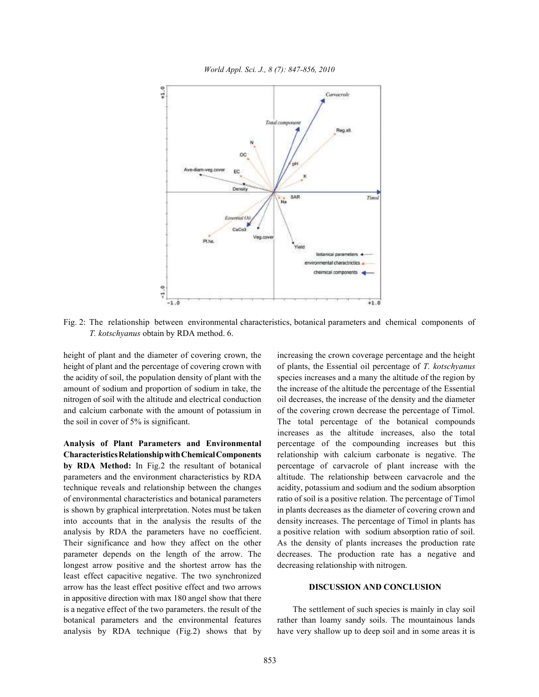*World Appl. Sci. J., 8 (7): 847-856, 2010*



Fig. 2: The relationship between environmental characteristics, botanical parameters and chemical components of *T. kotschyanus* obtain by RDA method. 6.

height of plant and the diameter of covering crown, the increasing the crown coverage percentage and the height height of plant and the percentage of covering crown with of plants, the Essential oil percentage of *T. kotschyanus* the acidity of soil, the population density of plant with the species increases and a many the altitude of the region by amount of sodium and proportion of sodium in take, the the increase of the altitude the percentage of the Essential nitrogen of soil with the altitude and electrical conduction oil decreases, the increase of the density and the diameter and calcium carbonate with the amount of potassium in of the covering crown decrease the percentage of Timol. the soil in cover of 5% is significant. The total percentage of the botanical compounds

**Characteristics Relationshipwith Chemical Components** relationship with calcium carbonate is negative. The **by RDA Method:** In Fig.2 the resultant of botanical percentage of carvacrole of plant increase with the parameters and the environment characteristics by RDA altitude. The relationship between carvacrole and the technique reveals and relationship between the changes acidity, potassium and sodium and the sodium absorption of environmental characteristics and botanical parameters ratio of soil is a positive relation. The percentage of Timol is shown by graphical interpretation. Notes must be taken in plants decreases as the diameter of covering crown and into accounts that in the analysis the results of the density increases. The percentage of Timol in plants has analysis by RDA the parameters have no coefficient. a positive relation with sodium absorption ratio of soil. Their significance and how they affect on the other As the density of plants increases the production rate parameter depends on the length of the arrow. The decreases. The production rate has a negative and longest arrow positive and the shortest arrow has the decreasing relationship with nitrogen. least effect capacitive negative. The two synchronized arrow has the least effect positive effect and two arrows **DISCUSSION AND CONCLUSION**  in appositive direction with max 180 angel show that there is a negative effect of the two parameters. the result of the The settlement of such species is mainly in clay soil botanical parameters and the environmental features rather than loamy sandy soils. The mountainous lands analysis by RDA technique (Fig.2) shows that by have very shallow up to deep soil and in some areas it is

**Analysis of Plant Parameters and Environmental** percentage of the compounding increases but this increases as the altitude increases, also the total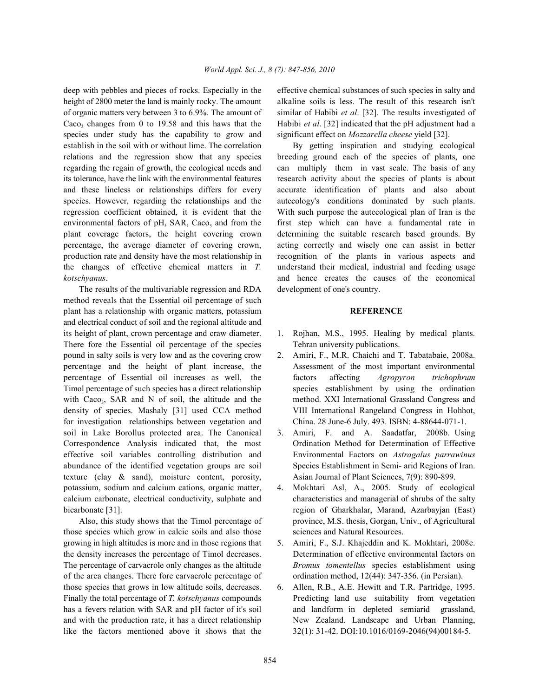height of 2800 meter the land is mainly rocky. The amount alkaline soils is less. The result of this research isn't of organic matters very between 3 to 6.9%. The amount of similar of Habibi *et al*. [32]. The results investigated of Caco, changes from 0 to 19.58 and this haws that the Habibi *et al.* [32] indicated that the pH adjustment had a species under study has the capability to grow and significant effect on *Mozzarella cheese* yield [32]. establish in the soil with or without lime. The correlation By getting inspiration and studying ecological relations and the regression show that any species breeding ground each of the species of plants, one regarding the regain of growth, the ecological needs and can multiply them in vast scale. The basis of any its tolerance, have the link with the environmental features research activity about the species of plants is about and these lineless or relationships differs for every accurate identification of plants and also about species. However, regarding the relationships and the autecology's conditions dominated by such plants. regression coefficient obtained, it is evident that the With such purpose the autecological plan of Iran is the environmental factors of pH, SAR, Caco, and from the first step which can have a fundamental rate in plant coverage factors, the height covering crown determining the suitable research based grounds. By percentage, the average diameter of covering crown, acting correctly and wisely one can assist in better production rate and density have the most relationship in recognition of the plants in various aspects and the changes of effective chemical matters in *T.* understand their medical, industrial and feeding usage *kotschyanus*. and hence creates the causes of the economical

The results of the multivariable regression and RDA development of one's country. method reveals that the Essential oil percentage of such plant has a relationship with organic matters, potassium **REFERENCE** and electrical conduct of soil and the regional altitude and its height of plant, crown percentage and craw diameter. 1. Rojhan, M.S., 1995. Healing by medical plants. There fore the Essential oil percentage of the species Tehran university publications. pound in salty soils is very low and as the covering crow 2. Amiri, F., M.R. Chaichi and T. Tabatabaie, 2008a. percentage and the height of plant increase, the Assessment of the most important environmental percentage of Essential oil increases as well, the factors affecting *Agropyron trichophrum* Timol percentage of such species has a direct relationship species establishment by using the ordination with Caco., SAR and N of soil, the altitude and the method. XXI International Grassland Congress and density of species. Mashaly [31] used CCA method VIII International Rangeland Congress in Hohhot, for investigation relationships between vegetation and China. 28 June-6 July. 493. ISBN: 4-88644-071-1. soil in Lake Borollus protected area. The Canonical 3. Amiri, F. and A. Saadatfar, 2008b. Using Correspondence Analysis indicated that, the most Ordination Method for Determination of Effective effective soil variables controlling distribution and Environmental Factors on *Astragalus parrawinus* abundance of the identified vegetation groups are soil Species Establishment in Semi- arid Regions of Iran. texture (clay & sand), moisture content, porosity, Asian Journal of Plant Sciences, 7(9): 890-899. potassium, sodium and calcium cations, organic matter, 4. Mokhtari Asl, A., 2005. Study of ecological calcium carbonate, electrical conductivity, sulphate and characteristics and managerial of shrubs of the salty bicarbonate [31]. **region of Gharkhalar, Marand, Azarbayjan (East)** region of Gharkhalar, Marand, Azarbayjan (East)

those species which grow in calcic soils and also those sciences and Natural Resources. growing in high altitudes is more and in those regions that 5. Amiri, F., S.J. Khajeddin and K. Mokhtari, 2008c. the density increases the percentage of Timol decreases. Determination of effective environmental factors on The percentage of carvacrole only changes as the altitude *Bromus tomentellus* species establishment using of the area changes. There fore carvacrole percentage of ordination method, 12(44): 347-356. (in Persian). those species that grows in low altitude soils, decreases. 6. Allen, R.B., A.E. Hewitt and T.R. Partridge, 1995. like the factors mentioned above it shows that the 32(1): 31-42. DOI:10.1016/0169-2046(94)00184-5.

deep with pebbles and pieces of rocks. Especially in the effective chemical substances of such species in salty and

- 
- 
- 
- Also, this study shows that the Timol percentage of province, M.S. thesis, Gorgan, Univ., of Agricultural
	-
- Finally the total percentage of *T. kotschyanus* compounds Predicting land use suitability from vegetation has a fevers relation with SAR and pH factor of it's soil and landform in depleted semiarid grassland, and with the production rate, it has a direct relationship New Zealand. Landscape and Urban Planning,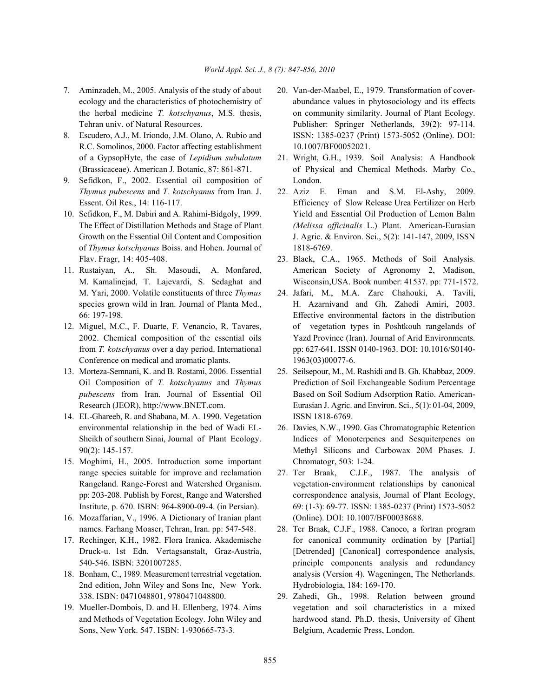- 7. Aminzadeh, M., 2005. Analysis of the study of about 20. Van-der-Maabel, E., 1979. Transformation of cover-
- R.C. Somolinos, 2000. Factor affecting establishment 10.1007/BF00052021. of a GypsopHyte, the case of *Lepidium subulatum* 21. Wright, G.H., 1939. Soil Analysis: A Handbook
- 9. Sefidkon, F., 2002. Essential oil composition of London. *Thymus pubescens* and *T. kotschyanus* from Iran. J. 22. Aziz E. Eman and S.M. El-Ashy, 2009.
- of *Thymus kotschyanus* Boiss. and Hohen. Journal of 1818-6769. Flav. Fragr, 14: 405-408. 23. Black, C.A., 1965. Methods of Soil Analysis.
- M. Yari, 2000. Volatile constituents of three *Thymus* 24. Jafari, M., M.A. Zare Chahouki, A. Tavili,
- Conference on medical and aromatic plants. 1963(03)00077-6.
- 
- 14. EL-Ghareeb, R. and Shabana, M. A. 1990. Vegetation ISSN 1818-6769. environmental relationship in the bed of Wadi EL- 26. Davies, N.W., 1990. Gas Chromatographic Retention
- 15. Moghimi, H., 2005. Introduction some important Chromatogr, 503: 1-24. range species suitable for improve and reclamation 27. Ter Braak, C.J.F., 1987. The analysis of
- 16. Mozaffarian, V., 1996. A Dictionary of Iranian plant (Online). DOI: 10.1007/BF00038688. names. Farhang Moaser, Tehran, Iran. pp: 547-548. 28. Ter Braak, C.J.F., 1988. Canoco, a fortran program
- 
- 2nd edition, John Wiley and Sons Inc, New York. Hydrobiologia, 184: 169-170.
- Sons, New York. 547. ISBN: 1-930665-73-3. Belgium, Academic Press, London.
- ecology and the characteristics of photochemistry of abundance values in phytosociology and its effects the herbal medicine *T. kotschyanus*, M.S. thesis, on community similarity. Journal of Plant Ecology. Tehran univ. of Natural Resources. Publisher: Springer Netherlands, 39(2): 97-114. 8. Escudero, A.J., M. Iriondo, J.M. Olano, A. Rubio and ISSN: 1385-0237 (Print) 1573-5052 (Online). DOI:
	- (Brassicaceae). American J. Botanic, 87: 861-871. of Physical and Chemical Methods. Marby Co.,
- Essent. Oil Res., 14: 116-117. Efficiency of Slow Release Urea Fertilizer on Herb 10. Sefidkon, F., M. Dabiri and A. Rahimi-Bidgoly, 1999. Yield and Essential Oil Production of Lemon Balm The Effect of Distillation Methods and Stage of Plant *(Melissa officinalis* L.) Plant. American-Eurasian Growth on the Essential Oil Content and Composition J. Agric. & Environ. Sci., 5(2): 141-147, 2009, ISSN
- 11. Rustaiyan, A., Sh. Masoudi, A. Monfared, American Society of Agronomy 2, Madison, M. Kamalinejad, T. Lajevardi, S. Sedaghat and Wisconsin,USA. Book number: 41537. pp: 771-1572.
- species grown wild in Iran. Journal of Planta Med., H. Azarnivand and Gh. Zahedi Amiri, 2003. 66: 197-198. Effective environmental factors in the distribution 12. Miguel, M.C., F. Duarte, F. Venancio, R. Tavares, of vegetation types in Poshtkouh rangelands of 2002. Chemical composition of the essential oils Yazd Province (Iran). Journal of Arid Environments. from *T. kotschyanus* over a day period. International pp: 627-641. ISSN 0140-1963. DOI: 10.1016/S0140-
- 13. Morteza-Semnani, K. and B. Rostami, 2006. Essential 25. Seilsepour, M., M. Rashidi and B. Gh. Khabbaz, 2009. Oil Composition of *T. kotschyanus* and *Thymus* Prediction of Soil Exchangeable Sodium Percentage *pubescens* from Iran. Journal of Essential Oil Based on Soil Sodium Adsorption Ratio. American-Research (JEOR), http://www.BNET.com. Eurasian J. Agric. and Environ. Sci., 5(1): 01-04, 2009,
	- Sheikh of southern Sinai, Journal of Plant Ecology. Indices of Monoterpenes and Sesquiterpenes on 90(2): 145-157. Methyl Silicons and Carbowax 20M Phases. J.
	- Rangeland. Range-Forest and Watershed Organism. vegetation-environment relationships by canonical pp: 203-208. Publish by Forest, Range and Watershed correspondence analysis, Journal of Plant Ecology, Institute, p. 670. ISBN: 964-8900-09-4. (in Persian). 69: (1-3): 69-77. ISSN: 1385-0237 (Print) 1573-5052
- 17. Rechinger, K.H., 1982. Flora Iranica. Akademische for canonical community ordination by [Partial] Druck-u. 1st Edn. Vertagsanstalt, Graz-Austria, [Detrended] [Canonical] correspondence analysis, 540-546. ISBN: 3201007285. principle components analysis and redundancy 18. Bonham, C., 1989. Measurement terrestrial vegetation. analysis (Version 4). Wageningen, The Netherlands.
- 338. ISBN: 0471048801, 9780471048800. 29. Zahedi, Gh., 1998. Relation between ground 19. Mueller-Dombois, D. and H. Ellenberg, 1974. Aims vegetation and soil characteristics in a mixed and Methods of Vegetation Ecology. John Wiley and hardwood stand. Ph.D. thesis, University of Ghent